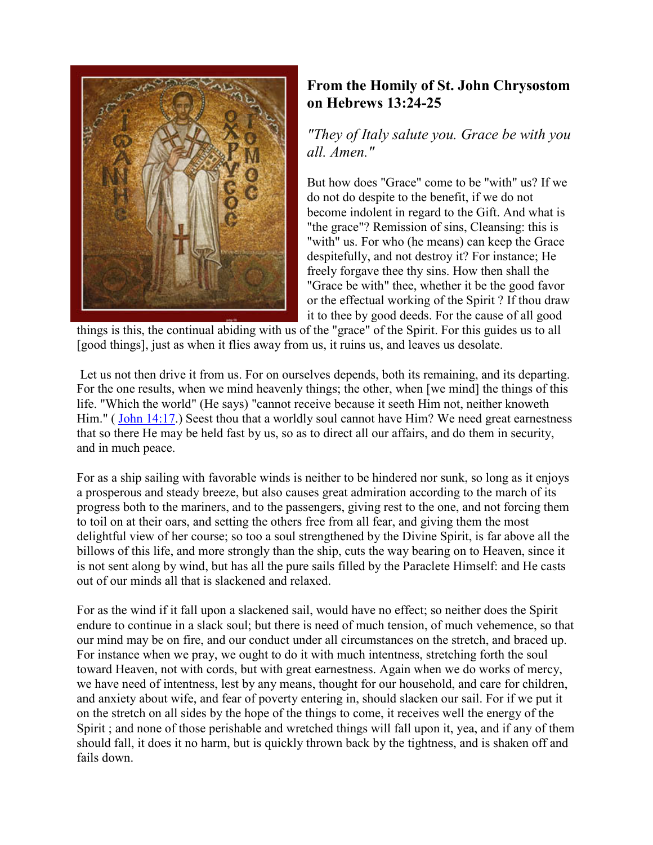

## **From the Homily of St. John Chrysostom on Hebrews 13:24-25**

*"They of Italy salute you. Grace be with you all. Amen."* 

But how does "Grace" come to be "with" us? If we do not do despite to the benefit, if we do not become indolent in regard to the Gift. And what is "the grace"? Remission of sins, Cleansing: this is "with" us. For who (he means) can keep the Grace despitefully, and not destroy it? For instance; He freely forgave thee thy sins. How then shall the "Grace be with" thee, whether it be the good favor or the effectual working of the Spirit ? If thou draw it to thee by good deeds. For the cause of all good

things is this, the continual abiding with us of the "grace" of the Spirit. For this guides us to all [good things], just as when it flies away from us, it ruins us, and leaves us desolate.

Let us not then drive it from us. For on ourselves depends, both its remaining, and its departing. For the one results, when we mind heavenly things; the other, when [we mind] the things of this life. "Which the world" (He says) "cannot receive because it seeth Him not, neither knoweth Him." (John 14:17.) Seest thou that a worldly soul cannot have Him? We need great earnestness that so there He may be held fast by us, so as to direct all our affairs, and do them in security, and in much peace.

For as a ship sailing with favorable winds is neither to be hindered nor sunk, so long as it enjoys a prosperous and steady breeze, but also causes great admiration according to the march of its progress both to the mariners, and to the passengers, giving rest to the one, and not forcing them to toil on at their oars, and setting the others free from all fear, and giving them the most delightful view of her course; so too a soul strengthened by the Divine Spirit, is far above all the billows of this life, and more strongly than the ship, cuts the way bearing on to Heaven, since it is not sent along by wind, but has all the pure sails filled by the Paraclete Himself: and He casts out of our minds all that is slackened and relaxed.

For as the wind if it fall upon a slackened sail, would have no effect; so neither does the Spirit endure to continue in a slack soul; but there is need of much tension, of much vehemence, so that our mind may be on fire, and our conduct under all circumstances on the stretch, and braced up. For instance when we pray, we ought to do it with much intentness, stretching forth the soul toward Heaven, not with cords, but with great earnestness. Again when we do works of mercy, we have need of intentness, lest by any means, thought for our household, and care for children, and anxiety about wife, and fear of poverty entering in, should slacken our sail. For if we put it on the stretch on all sides by the hope of the things to come, it receives well the energy of the Spirit ; and none of those perishable and wretched things will fall upon it, yea, and if any of them should fall, it does it no harm, but is quickly thrown back by the tightness, and is shaken off and fails down.